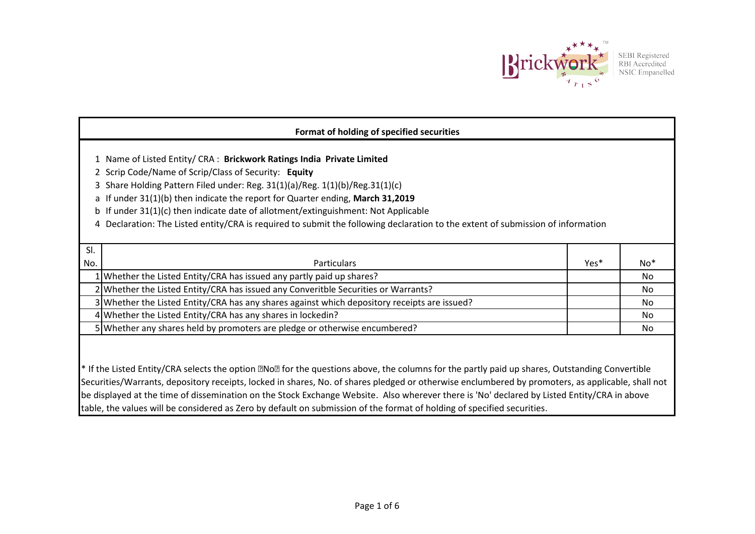

SEBI Registered<br>RBI Accredited<br>NSIC Empanelled

| Format of holding of specified securities                                                                                                                                                                                                                                                                                                                                                                                                                                                                                 |                                                                                              |      |     |  |  |  |  |  |  |  |  |
|---------------------------------------------------------------------------------------------------------------------------------------------------------------------------------------------------------------------------------------------------------------------------------------------------------------------------------------------------------------------------------------------------------------------------------------------------------------------------------------------------------------------------|----------------------------------------------------------------------------------------------|------|-----|--|--|--|--|--|--|--|--|
| 1 Name of Listed Entity/ CRA : Brickwork Ratings India Private Limited<br>2 Scrip Code/Name of Scrip/Class of Security: Equity<br>3 Share Holding Pattern Filed under: Reg. 31(1)(a)/Reg. 1(1)(b)/Reg.31(1)(c)<br>a If under 31(1)(b) then indicate the report for Quarter ending, March 31,2019<br>b If under 31(1)(c) then indicate date of allotment/extinguishment: Not Applicable<br>4 Declaration: The Listed entity/CRA is required to submit the following declaration to the extent of submission of information |                                                                                              |      |     |  |  |  |  |  |  |  |  |
|                                                                                                                                                                                                                                                                                                                                                                                                                                                                                                                           |                                                                                              |      |     |  |  |  |  |  |  |  |  |
| SI.                                                                                                                                                                                                                                                                                                                                                                                                                                                                                                                       |                                                                                              |      |     |  |  |  |  |  |  |  |  |
| No.                                                                                                                                                                                                                                                                                                                                                                                                                                                                                                                       | <b>Particulars</b>                                                                           | Yes* | No* |  |  |  |  |  |  |  |  |
|                                                                                                                                                                                                                                                                                                                                                                                                                                                                                                                           | 1 Whether the Listed Entity/CRA has issued any partly paid up shares?                        |      | No. |  |  |  |  |  |  |  |  |
|                                                                                                                                                                                                                                                                                                                                                                                                                                                                                                                           | 2 Whether the Listed Entity/CRA has issued any Converitble Securities or Warrants?           |      | No. |  |  |  |  |  |  |  |  |
|                                                                                                                                                                                                                                                                                                                                                                                                                                                                                                                           | 3 Whether the Listed Entity/CRA has any shares against which depository receipts are issued? |      | No  |  |  |  |  |  |  |  |  |
|                                                                                                                                                                                                                                                                                                                                                                                                                                                                                                                           | 4 Whether the Listed Entity/CRA has any shares in lockedin?                                  |      | No. |  |  |  |  |  |  |  |  |
|                                                                                                                                                                                                                                                                                                                                                                                                                                                                                                                           | 5 Whether any shares held by promoters are pledge or otherwise encumbered?                   |      | No  |  |  |  |  |  |  |  |  |

\* If the Listed Entity/CRA selects the option Mo<sup>n</sup> for the questions above, the columns for the partly paid up shares, Outstanding Convertible Securities/Warrants, depository receipts, locked in shares, No. of shares pledged or otherwise enclumbered by promoters, as applicable, shall not be displayed at the time of dissemination on the Stock Exchange Website. Also wherever there is 'No' declared by Listed Entity/CRA in above table, the values will be considered as Zero by default on submission of the format of holding of specified securities.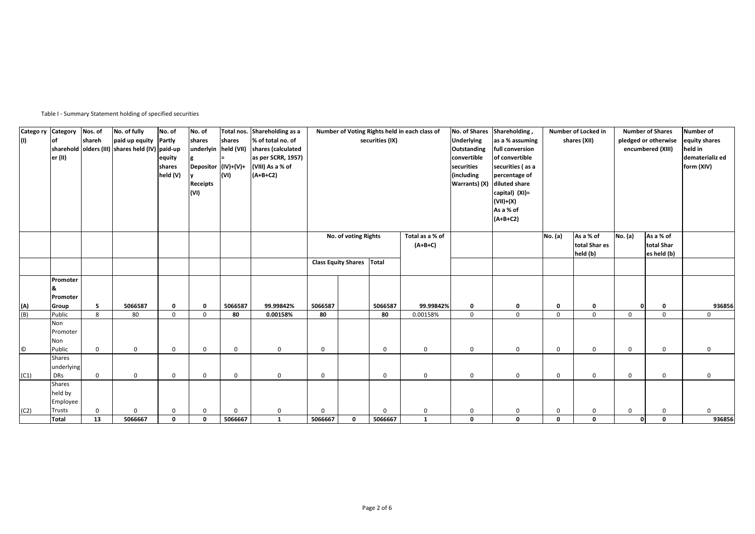Table I - Summary Statement holding of specified securities

| Catego ry<br>(1)  | Category<br><b>of</b><br>er (II)          | Nos. of<br>shareh | No. of fully<br>paid up equity<br>sharehold olders (III) shares held (IV) paid-up | No. of<br>Partly<br>equity<br>shares<br>held (V) | No. of<br>shares<br>underlyin held (VII)<br>Depositor (IV)+(V)+<br>Receipts<br>(VI) | Total nos.<br>shares<br>(VI) | Shareholding as a<br>% of total no. of<br>shares (calculated<br>as per SCRR, 1957)<br>(VIII) As a % of<br>$(A+B+C2)$ |                                     |                      | securities (IX) | Number of Voting Rights held in each class of | <b>Underlying</b><br>Outstanding<br>convertible<br>securities<br>(including<br>Warrants) (X) | No. of Shares Shareholding,<br>as a % assuming<br>full conversion<br>of convertible<br>securities (as a<br>percentage of<br>diluted share<br>capital) (XI)=<br>(VII)+(X)<br>As a % of | Number of Locked in<br>shares (XII) |                                        |              | <b>Number of Shares</b><br>pledged or otherwise<br>encumbered (XIII) | Number of<br>equity shares<br>held in<br>dematerializ ed<br>form (XIV) |
|-------------------|-------------------------------------------|-------------------|-----------------------------------------------------------------------------------|--------------------------------------------------|-------------------------------------------------------------------------------------|------------------------------|----------------------------------------------------------------------------------------------------------------------|-------------------------------------|----------------------|-----------------|-----------------------------------------------|----------------------------------------------------------------------------------------------|---------------------------------------------------------------------------------------------------------------------------------------------------------------------------------------|-------------------------------------|----------------------------------------|--------------|----------------------------------------------------------------------|------------------------------------------------------------------------|
|                   |                                           |                   |                                                                                   |                                                  |                                                                                     |                              |                                                                                                                      |                                     | No. of voting Rights |                 | Total as a % of<br>$(A+B+C)$                  |                                                                                              | $(A+B+C2)$                                                                                                                                                                            | No. (a)                             | As a % of<br>total Shar es<br>held (b) | No. (a)      | As a % of<br>total Shar<br>es held (b)                               |                                                                        |
|                   |                                           |                   |                                                                                   |                                                  |                                                                                     |                              |                                                                                                                      | <b>Class Equity Shares</b><br>Total |                      |                 |                                               |                                                                                              |                                                                                                                                                                                       |                                     |                                        |              |                                                                      |                                                                        |
|                   | Promoter<br>Promoter<br>Group             | 5                 | 5066587                                                                           | $\mathbf 0$                                      | 0                                                                                   | 5066587                      | 99.99842%                                                                                                            | 5066587                             |                      | 5066587         | 99.99842%                                     | 0                                                                                            | 0                                                                                                                                                                                     | 0                                   | 0                                      | $\mathbf{0}$ | $\mathbf 0$                                                          | 936856                                                                 |
| <u>(A)</u><br>(B) | Public                                    | 8                 | 80                                                                                | $\mathbf 0$                                      | $\mathbf 0$                                                                         | 80                           | 0.00158%                                                                                                             | 80                                  |                      | 80              | 0.00158%                                      | $\mathbf 0$                                                                                  | $\mathbf 0$                                                                                                                                                                           | $\mathbf 0$                         | $\mathbf{0}$                           | $\mathbf 0$  | $\Omega$                                                             | $\mathbf{0}$                                                           |
|                   | Non<br>Promoter<br>Non                    |                   |                                                                                   |                                                  |                                                                                     |                              |                                                                                                                      |                                     |                      |                 |                                               |                                                                                              |                                                                                                                                                                                       |                                     |                                        |              |                                                                      |                                                                        |
| $\odot$           | Public                                    | $\mathsf 0$       | $\mathsf 0$                                                                       | $\mathbf 0$                                      | $\mathbf 0$                                                                         | $\mathbf 0$                  | $\mathbf 0$                                                                                                          | $\mathbf 0$                         |                      | 0               | $\mathbf 0$                                   | $\mathbf 0$                                                                                  | $\mathsf 0$                                                                                                                                                                           | $\mathbf 0$                         | $\mathbf 0$                            | 0            | $\mathbf 0$                                                          | 0                                                                      |
| (C1)              | <b>Shares</b><br>underlying<br><b>DRs</b> | $\mathbf 0$       | $\mathbf 0$                                                                       | $\mathbf 0$                                      | $\mathbf 0$                                                                         | 0                            | $\mathsf 0$                                                                                                          | $\mathbf 0$                         |                      | 0               | 0                                             | $\mathsf 0$                                                                                  | $\mathsf 0$                                                                                                                                                                           | $\mathbf 0$                         | $\mathbf 0$                            | 0            | $\mathbf 0$                                                          | $\mathbf{0}$                                                           |
|                   | <b>Shares</b><br>held by<br>Employee      |                   |                                                                                   |                                                  |                                                                                     |                              |                                                                                                                      |                                     |                      |                 |                                               |                                                                                              |                                                                                                                                                                                       |                                     |                                        |              |                                                                      |                                                                        |
| (C2)              | <b>Trusts</b>                             | $\mathbf 0$       | 0                                                                                 | $\mathbf 0$                                      | $\mathbf 0$                                                                         | $\Omega$                     | $\mathbf 0$                                                                                                          | $\Omega$                            |                      | $\Omega$        | 0                                             | $\mathbf 0$                                                                                  | 0                                                                                                                                                                                     | $\mathbf 0$                         | 0                                      | $\mathbf 0$  | 0                                                                    | $\mathbf{0}$                                                           |
|                   | <b>Total</b>                              | 13                | 5066667                                                                           | 0                                                | $\mathbf{0}$                                                                        | 5066667                      | $\mathbf{1}$                                                                                                         | 5066667                             | 0                    | 5066667         | $\mathbf{1}$                                  | $\mathbf{0}$                                                                                 | $\mathbf 0$                                                                                                                                                                           | $\mathbf 0$                         | $\mathbf 0$                            | $\mathbf{0}$ | $\mathbf{0}$                                                         | 936856                                                                 |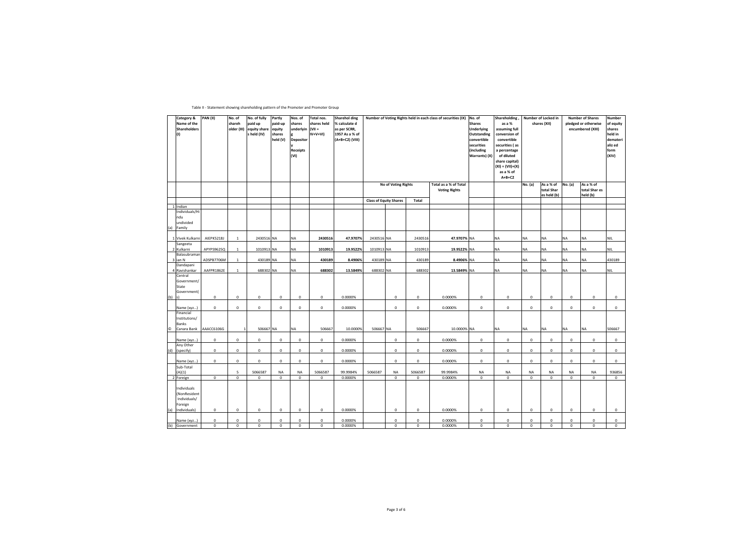| Table II - Statement showing shareholding pattern of the Promoter and Promoter Group |  |
|--------------------------------------------------------------------------------------|--|
|                                                                                      |  |

|                | Category &<br>Name of the<br>Shareholders<br>(1)                       | <b>PAN (II)</b>            | No. of<br>shareh<br>older (III) | No. of fully<br>paid up<br>equity share<br>held (IV) | Partly<br>paid-up<br>equity<br>shares<br>held (V) | Nos. of<br>shares<br>underlyin<br><b>Depositor</b><br><b>Receipts</b><br>(VI) | Total nos.<br>shares held<br>$(VII =$<br>(IV+V+VI | <b>Sharehol ding</b><br>% calculate d<br>as per SCRR,<br>1957 As a % of<br>(A+B+C2) (VIII) |                               |                     |                  | Number of Voting Rights held in each class of securities (IX) | No. of<br><b>Shares</b><br><b>Underlying</b><br>Outstanding<br>convertible<br>securities<br>(including<br>Warrants) (X) | Shareholding<br>as a %<br>assuming full<br>conversion of<br>convertible<br>securities (as<br>a percentage<br>of diluted<br>share capital)<br>$(XI) = (VII)+(X)$<br>as a % of<br>$A+B+C2$ |                  | Number of Locked in<br>shares (XII)    | <b>Number of Shares</b><br>pledged or otherwise<br>encumbered (XIII) | Number<br>of equity<br>shares<br>held in<br>demateri<br>aliz ed<br>form<br>(XIV) |                  |
|----------------|------------------------------------------------------------------------|----------------------------|---------------------------------|------------------------------------------------------|---------------------------------------------------|-------------------------------------------------------------------------------|---------------------------------------------------|--------------------------------------------------------------------------------------------|-------------------------------|---------------------|------------------|---------------------------------------------------------------|-------------------------------------------------------------------------------------------------------------------------|------------------------------------------------------------------------------------------------------------------------------------------------------------------------------------------|------------------|----------------------------------------|----------------------------------------------------------------------|----------------------------------------------------------------------------------|------------------|
|                |                                                                        |                            |                                 |                                                      |                                                   |                                                                               |                                                   |                                                                                            |                               | No of Voting Rights |                  | Total as a % of Total<br><b>Voting Rights</b>                 |                                                                                                                         |                                                                                                                                                                                          | No. (a)          | As a % of<br>total Shar<br>es held (b) | No. (a)                                                              | As a % of<br>total Shar es<br>held (b)                                           |                  |
|                |                                                                        |                            |                                 |                                                      |                                                   |                                                                               |                                                   |                                                                                            | <b>Class of Equity Shares</b> |                     | Total            |                                                               |                                                                                                                         |                                                                                                                                                                                          |                  |                                        |                                                                      |                                                                                  |                  |
|                | 1 Indian                                                               |                            |                                 |                                                      |                                                   |                                                                               |                                                   |                                                                                            |                               |                     |                  |                                                               |                                                                                                                         |                                                                                                                                                                                          |                  |                                        |                                                                      |                                                                                  |                  |
|                | Individuals/Hi<br>ndu<br>undivided<br>(a) Family                       |                            |                                 |                                                      |                                                   |                                                                               |                                                   |                                                                                            |                               |                     |                  |                                                               |                                                                                                                         |                                                                                                                                                                                          |                  |                                        |                                                                      |                                                                                  |                  |
|                | 1 Vivek Kulkarni                                                       | AIEPK5218J                 | $\mathbf{1}$                    | 2430516 NA                                           |                                                   | NA                                                                            | 2430516                                           | 47.9707%                                                                                   | 2430516 NA                    |                     | 2430516          | 47.9707% NA                                                   |                                                                                                                         | NA                                                                                                                                                                                       | <b>NA</b>        | NΑ                                     | <b>NA</b>                                                            | NA                                                                               | <b>NIL</b>       |
|                | Sangeeta<br>2 Kulkarni                                                 | APYPS9625Q                 | $\mathbf{1}$                    | 1010913 NA                                           |                                                   | <b>NA</b>                                                                     | 1010913                                           | 19.9522%                                                                                   | 1010913 NA                    |                     | 1010913          | 19.9522% NA                                                   |                                                                                                                         | NA                                                                                                                                                                                       | <b>NA</b>        | NΑ                                     | <b>NA</b>                                                            | NA                                                                               | <b>NIL</b>       |
|                | Balasubraman<br>3 ian N                                                | ADSPB7706M                 | $\mathbf{1}$                    | 430189 NA                                            |                                                   | <b>NA</b>                                                                     | 430189                                            | 8.4906%                                                                                    | 430189 NA                     |                     | 430189           | 8.4906% NA                                                    |                                                                                                                         | NA                                                                                                                                                                                       | <b>NA</b>        | NA                                     | <b>NA</b>                                                            | NA                                                                               | 430189           |
|                | Dandapani                                                              |                            |                                 |                                                      |                                                   |                                                                               |                                                   |                                                                                            |                               |                     |                  |                                                               |                                                                                                                         |                                                                                                                                                                                          |                  |                                        |                                                                      |                                                                                  |                  |
|                | 4 Ravishankar                                                          | AAFPR1862E                 | $\mathbf{1}$                    | 688302 NA                                            |                                                   | <b>NA</b>                                                                     | 688302                                            | 13.5849%                                                                                   | 688302 NA                     |                     | 688302           | 13.5849% NA                                                   |                                                                                                                         | NA                                                                                                                                                                                       | <b>NA</b>        | NA.                                    | <b>NA</b>                                                            | NA                                                                               | <b>NIL</b>       |
| $(b)$ s)       | Central<br>Government/<br>State<br>Government(                         | $\mathbf 0$                | $\mathsf 0$                     | $\circ$                                              | $\mathsf 0$                                       | $\mathbf 0$                                                                   | $\mathsf 0$                                       | 0.0000%                                                                                    |                               | $\mathsf 0$         | $\mathsf 0$      | 0.0000%                                                       | $\mathbf 0$                                                                                                             | $\mathbf 0$                                                                                                                                                                              | $\mathbf 0$      | $^{\circ}$                             | $\mathbf 0$                                                          | $\mathsf 0$                                                                      | 0                |
|                |                                                                        | $\mathbf{0}$               | $\mathbf 0$                     | $^{\circ}$                                           | $\mathsf 0$                                       | $\mathbf 0$                                                                   | $\mathbf 0$                                       | 0.0000%                                                                                    |                               | $\mathbf 0$         | $^{\circ}$       | 0.0000%                                                       | $\mathbf 0$                                                                                                             | $\mathbf 0$                                                                                                                                                                              | $\mathbf 0$      | $\mathbf 0$                            | $\mathbf 0$                                                          | $\mathbf 0$                                                                      | $\mathsf 0$      |
| $\circledcirc$ | Name (xyz)<br>Financial<br>Institutions/<br>Banks<br>Canara Bank       | AAACC6106G                 | $\overline{1}$                  | 506667 NA                                            |                                                   | <b>NA</b>                                                                     | 506667                                            | 10.0000%                                                                                   | 506667 NA                     |                     | 506667           | 10.0000% NA                                                   |                                                                                                                         | NA                                                                                                                                                                                       | <b>NA</b>        | NΑ                                     | <b>NA</b>                                                            | NA                                                                               | 506667           |
|                |                                                                        |                            |                                 |                                                      |                                                   |                                                                               |                                                   |                                                                                            |                               |                     |                  |                                                               |                                                                                                                         |                                                                                                                                                                                          |                  |                                        |                                                                      |                                                                                  |                  |
|                | Name (xyz)<br>Any Other                                                | $\mathbf 0$                | $\mathbf 0$                     | $\mathsf 0$                                          | $\mathbf 0$                                       | $\mathbf 0$                                                                   | $\mathsf 0$                                       | 0.0000%                                                                                    |                               | $\mathsf 0$         | $\mathbf 0$      | 0.0000%                                                       | $\mathbf 0$                                                                                                             | $\mathbf 0$                                                                                                                                                                              | $\mathbf 0$      | $\mathsf 0$                            | $\mathbf 0$                                                          | $\mathsf 0$                                                                      | 0                |
|                | (d) (specify)                                                          | $\mathbf 0$                | 0                               | $\mathsf 0$                                          | 0                                                 | $\mathbf 0$                                                                   | 0                                                 | 0.0000%                                                                                    |                               | $\mathsf 0$         | 0                | 0.0000%                                                       | 0                                                                                                                       | $^{\circ}$                                                                                                                                                                               | $\mathbf 0$      | 0                                      | $\mathbf 0$                                                          | 0                                                                                | $\mathbf 0$      |
|                | Name (xyz)                                                             | $\mathbf 0$                | $\mathbf 0$                     | $\circ$                                              | $\mathbf 0$                                       | $\mathbf 0$                                                                   | $\mathsf 0$                                       | 0.0000%                                                                                    |                               | $\mathsf 0$         | $\mathbf{0}$     | 0.0000%                                                       | $^{\circ}$                                                                                                              | $\mathbf 0$                                                                                                                                                                              | $^{\circ}$       | $\mathsf 0$                            | $\mathbf 0$                                                          | 0                                                                                | $\mathbf 0$      |
|                | Sub-Total<br>(A)(1)                                                    |                            | 5                               | 5066587                                              | NA                                                | NA                                                                            | 5066587                                           | 99.9984%                                                                                   | 5066587                       | NA                  | 5066587          | 99.9984%                                                      | NA                                                                                                                      | NA                                                                                                                                                                                       | <b>NA</b>        | NA                                     | NA                                                                   | NA                                                                               | 936856           |
|                | 2 Foreign                                                              | $\mathbf 0$                | $\mathbf 0$                     | $\mathbf 0$                                          | $\mathbf 0$                                       | $\mathbf 0$                                                                   | $\mathbf 0$                                       | 0.0000%                                                                                    |                               | $\mathbf 0$         | $^{\circ}$       | 0.0000%                                                       | $\mathbf 0$                                                                                                             | $\mathbf 0$                                                                                                                                                                              | $\mathbf 0$      | $\mathbf 0$                            | $\mathbf 0$                                                          | $\mathbf 0$                                                                      | $\circ$          |
| (a)            | Individuals<br>(NonResident<br>Individuals/<br>Foreign<br>Individuals) | $\mathbf 0$                | 0                               | 0                                                    | 0                                                 | 0                                                                             | 0                                                 | 0.0000%                                                                                    |                               | 0                   | $\mathbf 0$      | 0.0000%                                                       | 0                                                                                                                       | 0                                                                                                                                                                                        | $\mathbf 0$      | 0                                      | 0                                                                    | $^{\circ}$                                                                       | $\mathbf 0$      |
|                |                                                                        |                            |                                 |                                                      |                                                   |                                                                               |                                                   |                                                                                            |                               |                     |                  |                                                               |                                                                                                                         |                                                                                                                                                                                          |                  |                                        |                                                                      |                                                                                  |                  |
| (b)            | Name (xyz)<br>Government                                               | $\mathbf 0$<br>$\mathbf 0$ | 0<br>$\mathbf 0$                | 0<br>$\mathbf 0$                                     | 0<br>$\mathbf 0$                                  | $\mathbf 0$<br>$\mathbf 0$                                                    | 0<br>$\mathbf 0$                                  | 0.0000%<br>0.0000%                                                                         |                               | 0<br>$\mathbf 0$    | 0<br>$\mathbf 0$ | 0.0000%<br>0.0000%                                            | 0<br>$\mathbf 0$                                                                                                        | 0<br>$\mathbf 0$                                                                                                                                                                         | 0<br>$\mathbf 0$ | 0<br>$\mathbf 0$                       | $\mathbf 0$<br>$\mathbf 0$                                           | 0<br>$\mathbf 0$                                                                 | 0<br>$\mathbf 0$ |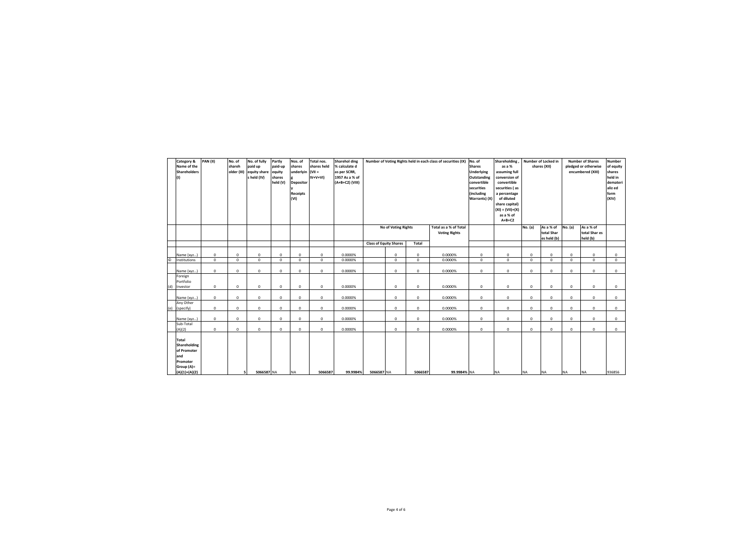|         | Category &<br>Name of the<br><b>Shareholders</b><br>(1)                                         | <b>PAN (II)</b> | No. of<br>shareh<br>older (III) | No. of fully<br>paid up<br>equity share<br>s held (IV) | Partly<br>paid-up<br>equity<br>shares<br>held (V) | Nos. of<br>shares<br>underlyin<br><b>Depositor</b><br><b>Receipts</b><br>(VI) | Total nos.<br>shares held<br>$(VII =$<br>$IV+V+VI$ | Sharehol ding<br>% calculate d<br>as per SCRR,<br>1957 As a % of<br>(A+B+C2) (VIII) | Number of Voting Rights held in each class of securities (IX) |                     |             |                                               |             |             | Shareholding<br>No. of<br><b>Shares</b><br>as a %<br>Underlying<br>assuming full<br>conversion of<br>Outstanding<br>convertible<br>convertible<br>securities<br>securities (as<br>(including<br>a percentage<br>Warrants) (X)<br>of diluted<br>share capital)<br>$(XI) = (VII)+(X)$<br>as a % of<br>$A+B+C2$ |                                        | Number of Locked in<br>shares (XII) |                                        |             | <b>Number of Shares</b><br>pledged or otherwise<br>encumbered (XIII) | <b>Number</b><br>of equity<br>shares<br>held in<br>demateri<br>aliz ed<br>form<br>(XIV) |
|---------|-------------------------------------------------------------------------------------------------|-----------------|---------------------------------|--------------------------------------------------------|---------------------------------------------------|-------------------------------------------------------------------------------|----------------------------------------------------|-------------------------------------------------------------------------------------|---------------------------------------------------------------|---------------------|-------------|-----------------------------------------------|-------------|-------------|--------------------------------------------------------------------------------------------------------------------------------------------------------------------------------------------------------------------------------------------------------------------------------------------------------------|----------------------------------------|-------------------------------------|----------------------------------------|-------------|----------------------------------------------------------------------|-----------------------------------------------------------------------------------------|
|         |                                                                                                 |                 |                                 |                                                        |                                                   |                                                                               |                                                    |                                                                                     |                                                               | No of Voting Rights |             | Total as a % of Total<br><b>Voting Rights</b> |             |             | No. (a)                                                                                                                                                                                                                                                                                                      | As a % of<br>total Shar<br>es held (b) | No. (a)                             | As a % of<br>total Shar es<br>held (b) |             |                                                                      |                                                                                         |
|         |                                                                                                 |                 |                                 |                                                        |                                                   |                                                                               |                                                    |                                                                                     | <b>Class of Equity Shares</b>                                 |                     | Total       |                                               |             |             |                                                                                                                                                                                                                                                                                                              |                                        |                                     |                                        |             |                                                                      |                                                                                         |
|         | Name (xyz)                                                                                      | $\mathbf 0$     | $\Omega$                        | $\mathbf 0$                                            | $^{\circ}$                                        | 0                                                                             | 0                                                  | 0.0000%                                                                             |                                                               | $\mathbf 0$         | 0           | 0.0000%                                       | $\mathbf 0$ | $\mathbf 0$ | $\Omega$                                                                                                                                                                                                                                                                                                     | $^{\circ}$                             | 0                                   | $^{\circ}$                             | $^{\circ}$  |                                                                      |                                                                                         |
| $\circ$ | Institutions                                                                                    | $\mathbf 0$     | $\Omega$                        | $\mathbf 0$                                            | $\mathbf 0$                                       | $\mathbf 0$                                                                   | $^{\circ}$                                         | 0.0000%                                                                             |                                                               | $\Omega$            | $\mathbf 0$ | 0.0000%                                       | $\mathbf 0$ | $\circ$     | $\Omega$                                                                                                                                                                                                                                                                                                     | $^{\circ}$                             | $\mathbf 0$                         | $\Omega$                               | $\mathbf 0$ |                                                                      |                                                                                         |
|         | Name (xyz)                                                                                      | $\mathbf 0$     | $\mathbf 0$                     | $\mathbf 0$                                            | $\mathbf 0$                                       | 0                                                                             | $\mathsf 0$                                        | 0.0000%                                                                             |                                                               | $^{\circ}$          | 0           | 0.0000%                                       | $\mathbf 0$ | $\mathbf 0$ | 0                                                                                                                                                                                                                                                                                                            | 0                                      | 0                                   | $^{\circ}$                             | 0           |                                                                      |                                                                                         |
|         | Foreign<br>Portfolio                                                                            |                 |                                 |                                                        |                                                   |                                                                               |                                                    |                                                                                     |                                                               |                     |             |                                               |             |             |                                                                                                                                                                                                                                                                                                              |                                        |                                     |                                        |             |                                                                      |                                                                                         |
| (d)     | Investor                                                                                        | $\mathbf{0}$    | $\mathbf 0$                     | $\mathbf 0$                                            | $\mathbf 0$                                       | $^{\circ}$                                                                    | $^{\circ}$                                         | 0.0000%                                                                             |                                                               | $^{\circ}$          | 0           | 0.0000%                                       | $\mathbf 0$ | $\mathbf 0$ | 0                                                                                                                                                                                                                                                                                                            | 0                                      | 0                                   | $\mathbf 0$                            | $^{\circ}$  |                                                                      |                                                                                         |
|         | Name (xyz)                                                                                      | $\mathbf{0}$    | $^{\circ}$                      | $\mathsf 0$                                            | $\mathbf 0$                                       | 0                                                                             | $\mathbf 0$                                        | 0.0000%                                                                             |                                                               | $\mathbf 0$         | 0           | 0.0000%                                       | $\mathbf 0$ | $\mathbf 0$ | 0                                                                                                                                                                                                                                                                                                            | 0                                      | 0                                   | $\mathbf 0$                            | 0           |                                                                      |                                                                                         |
| (e)     | Any Other<br>(specify)                                                                          | $\mathbf 0$     | $\mathbf 0$                     | $\mathsf 0$                                            | $\mathbf 0$                                       | $^{\circ}$                                                                    | $\mathsf 0$                                        | 0.0000%                                                                             |                                                               | $\mathsf 0$         | 0           | 0.0000%                                       | $\mathbf 0$ | $\mathbf 0$ | 0                                                                                                                                                                                                                                                                                                            | $\mathsf 0$                            | 0                                   | $\mathsf 0$                            | 0           |                                                                      |                                                                                         |
|         | Name (xyz)                                                                                      | $\mathbf 0$     | $^{\circ}$                      | $^{\circ}$                                             | 0                                                 | 0                                                                             | $^{\circ}$                                         | 0.0000%                                                                             |                                                               | $^{\circ}$          | 0           | 0.0000%                                       | $^{\circ}$  | $\mathbf 0$ | 0                                                                                                                                                                                                                                                                                                            | 0                                      | 0                                   | 0                                      | 0           |                                                                      |                                                                                         |
|         | Sub-Total<br>(A)(2)                                                                             | $\mathbf{0}$    | $^{\circ}$                      | $^{\circ}$                                             | $^{\circ}$                                        | $^{\circ}$                                                                    | $^{\circ}$                                         | 0.0000%                                                                             |                                                               | $^{\circ}$          | 0           | 0.0000%                                       | $\mathbf 0$ | $\mathbf 0$ | 0                                                                                                                                                                                                                                                                                                            | 0                                      | 0                                   | $\mathbf 0$                            | $^{\circ}$  |                                                                      |                                                                                         |
|         | <b>Total</b><br>Shareholding<br>of Promoter<br>and<br>Promoter<br>Group (A)=<br>$(A)(1)+(A)(2)$ |                 | 5                               | 5066587 NA                                             |                                                   | <b>NA</b>                                                                     | 5066587                                            | 99.9984%                                                                            | 5066587 NA                                                    |                     | 5066587     | 99.9984% NA                                   |             | <b>NA</b>   | <b>NA</b>                                                                                                                                                                                                                                                                                                    | <b>NA</b>                              | <b>NA</b>                           | <b>NA</b>                              | 936856      |                                                                      |                                                                                         |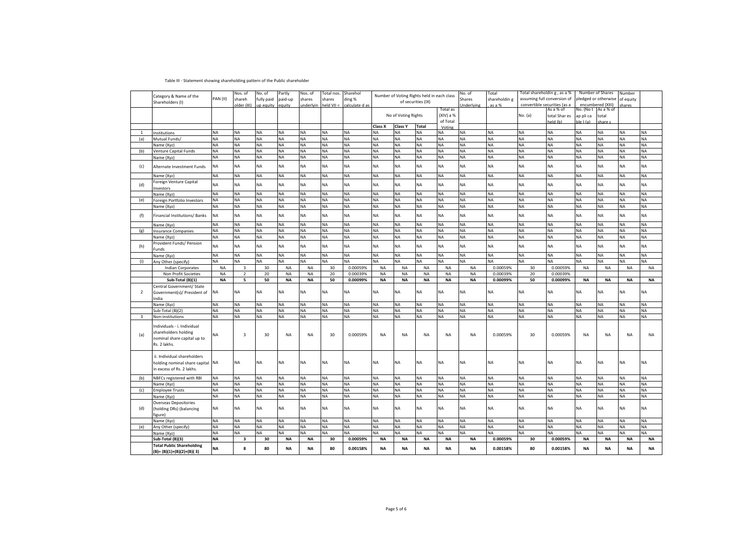## Table III - Statement showing shareholding pattern of the Public shareholder

|                |                                                                |           | Nos. of        | No. of     | Partly    | Nos. of   | Total nos    | Sharehol       |           | Number of Voting Rights held in each class |                    |           | No. of     | Total         | Total shareholdin g , as a % |               |           | Number of Shares<br>Number |           |           |
|----------------|----------------------------------------------------------------|-----------|----------------|------------|-----------|-----------|--------------|----------------|-----------|--------------------------------------------|--------------------|-----------|------------|---------------|------------------------------|---------------|-----------|----------------------------|-----------|-----------|
|                | Category & Name of the                                         | PAN (II)  | shareh         | fully paid | paid-up   | shares    | shares       | ding %         |           |                                            | of securities (IX) |           | Shares     | shareholdin g | assuming full conversion of  |               |           | pledged or otherwise       | of equity |           |
|                | Shareholders (I)                                               |           | older (III)    | up equity  | equity    | underlyin | $held VII =$ | calculate d as |           |                                            |                    |           | Underlying | as a %        | convertible securities (as a |               |           | encumbered (XIII)          | hares     |           |
|                |                                                                |           |                |            |           |           |              |                |           |                                            |                    | Total as  |            |               |                              | As a % of     | No. (No t | As a % of                  |           |           |
|                |                                                                |           |                |            |           |           |              |                |           | No of Voting Rights                        |                    | (XIV) a % |            |               | No. (a)                      | total Shar es | ap pli ca | total                      |           |           |
|                |                                                                |           |                |            |           |           |              |                |           |                                            |                    | of Total  |            |               |                              | held (b)      | ble ) (a) | share s                    |           |           |
|                |                                                                |           |                |            |           |           |              |                | Class X   | Class Y                                    | <b>Total</b>       | Voting    |            |               |                              |               |           |                            |           |           |
| $\mathbf{1}$   | Institutions                                                   | <b>NA</b> | ΝA             | <b>NA</b>  | <b>NA</b> | <b>NA</b> | <b>NA</b>    | <b>NA</b>      | <b>NA</b> | NA                                         | <b>NA</b>          | <b>NA</b> | <b>NA</b>  | <b>NA</b>     | <b>NA</b>                    | <b>NA</b>     | NA        | <b>NA</b>                  | <b>NA</b> | NA        |
| (a)            | Mutual Funds/                                                  | NA        | NA             | <b>NA</b>  | <b>NA</b> | <b>NA</b> | NΑ           | NA             | NA        | NA                                         | <b>NA</b>          | NA        | <b>NA</b>  | <b>NA</b>     | <b>NA</b>                    | <b>NA</b>     | <b>NA</b> | NA                         | <b>NA</b> | NA        |
|                | Name (Xyz)                                                     | <b>NA</b> | NA             | <b>NA</b>  | <b>NA</b> | <b>NA</b> | ΝA           | <b>NA</b>      | <b>NA</b> | NA                                         | <b>NA</b>          | <b>NA</b> | <b>NA</b>  | <b>NA</b>     | <b>NA</b>                    | <b>NA</b>     | <b>NA</b> | <b>NA</b>                  | <b>NA</b> | NA        |
| (b)            | Venture Capital Funds                                          | <b>NA</b> | NA             | <b>NA</b>  | <b>NA</b> | <b>NA</b> | NA           | <b>NA</b>      | <b>NA</b> | NA                                         | <b>NA</b>          | <b>NA</b> | <b>NA</b>  | <b>NA</b>     | <b>NA</b>                    | <b>NA</b>     | <b>NA</b> | <b>NA</b>                  | <b>NA</b> | NA        |
|                | Name (Xyz)                                                     | <b>NA</b> | NA             | <b>NA</b>  | <b>NA</b> | <b>NA</b> | ΝA           | <b>NA</b>      | <b>NA</b> | ΝA                                         | <b>NA</b>          | <b>NA</b> | <b>NA</b>  | <b>NA</b>     | NA                           | <b>NA</b>     | <b>NA</b> | <b>NA</b>                  | <b>NA</b> | <b>NA</b> |
|                |                                                                |           |                |            |           |           |              |                |           |                                            |                    |           |            |               |                              |               |           |                            |           |           |
| (c)            | Alternate Investment Funds                                     | <b>NA</b> | NA             | NA         | <b>NA</b> | <b>NA</b> | <b>NA</b>    | NA             | ΝA        | ΝA                                         | <b>NA</b>          | <b>NA</b> | <b>NA</b>  | ΝA            | <b>NA</b>                    | <b>NA</b>     | <b>NA</b> | <b>NA</b>                  | <b>NA</b> | <b>NA</b> |
|                | Name (Xyz)                                                     | NA        | NA             | <b>NA</b>  | <b>NA</b> | <b>NA</b> | NA           | <b>NA</b>      | <b>NA</b> | <b>NA</b>                                  | <b>NA</b>          | <b>NA</b> | <b>NA</b>  | <b>NA</b>     | <b>NA</b>                    | <b>NA</b>     | <b>NA</b> | <b>NA</b>                  | <b>NA</b> | <b>NA</b> |
|                |                                                                |           |                |            |           |           |              |                |           |                                            |                    |           |            |               |                              |               |           |                            |           |           |
| (d)            | Foreign Venture Capital                                        | <b>NA</b> | <b>NA</b>      | <b>NA</b>  | <b>NA</b> | <b>NA</b> | <b>NA</b>    | <b>NA</b>      | <b>NA</b> | <b>NA</b>                                  | <b>NA</b>          | <b>NA</b> | <b>NA</b>  | <b>NA</b>     | <b>NA</b>                    | <b>NA</b>     | <b>NA</b> | <b>NA</b>                  | <b>NA</b> | <b>NA</b> |
|                | nvestors                                                       |           |                |            |           |           |              |                |           |                                            |                    |           |            |               |                              |               |           |                            |           |           |
|                | Name (Xyz)                                                     | <b>NA</b> | NA             | <b>NA</b>  | <b>NA</b> | <b>NA</b> | <b>NA</b>    | <b>NA</b>      | <b>NA</b> | NA                                         | <b>NA</b>          | <b>NA</b> | <b>NA</b>  | <b>NA</b>     | NA                           | <b>NA</b>     | <b>NA</b> | <b>NA</b>                  | <b>NA</b> | <b>NA</b> |
| (e)            | oreign Portfolio Investors                                     | <b>NA</b> | NA             | NA         | <b>NA</b> | <b>NA</b> | NA           | NA             | NA        | NA                                         | <b>NA</b>          | <b>NA</b> | <b>NA</b>  | <b>NA</b>     | NA                           | <b>NA</b>     | <b>NA</b> | <b>NA</b>                  | <b>NA</b> | NA        |
|                | Name (Xyz)                                                     | NA        | NA             | NA         | <b>NA</b> | <b>NA</b> | NA           | <b>NA</b>      | <b>NA</b> | NA                                         | <b>NA</b>          | <b>NA</b> | <b>NA</b>  | <b>NA</b>     | NA                           | <b>NA</b>     | <b>NA</b> | <b>NA</b>                  | <b>NA</b> | <b>NA</b> |
|                | Financial Institutions/Banks                                   | <b>NA</b> | NA             | NA         | <b>NA</b> | <b>NA</b> | <b>NA</b>    | <b>NA</b>      | <b>NA</b> | NA                                         | NA                 | <b>NA</b> | <b>NA</b>  | <b>NA</b>     | <b>NA</b>                    | <b>NA</b>     | <b>NA</b> | NA                         | <b>NA</b> | NA        |
| (f)            |                                                                |           |                |            |           |           |              |                |           |                                            |                    |           |            |               |                              |               |           |                            |           |           |
|                | Name (Xyz)                                                     | NA        | NA             | <b>NA</b>  | <b>NA</b> | <b>NA</b> | <b>NA</b>    | <b>NA</b>      | <b>NA</b> | <b>NA</b>                                  | <b>NA</b>          | <b>NA</b> | <b>NA</b>  | <b>NA</b>     | NA                           | NA            | <b>NA</b> | <b>NA</b>                  | <b>NA</b> | <b>NA</b> |
| (g)            | Insurance Companies                                            | <b>NA</b> | NA             | <b>NA</b>  | <b>NA</b> | <b>NA</b> | NA           | <b>NA</b>      | <b>NA</b> | NA                                         | NA                 | <b>NA</b> | <b>NA</b>  | NA            | ΝA                           | <b>NA</b>     | <b>NA</b> | NA                         | <b>NA</b> | NA        |
|                | Name (Xyz)                                                     | <b>NA</b> | NA             | NA         | <b>NA</b> | <b>NA</b> | NA           | <b>NA</b>      | <b>NA</b> | ΝA                                         | <b>NA</b>          | <b>NA</b> | <b>NA</b>  | <b>NA</b>     | NA                           | <b>NA</b>     | <b>NA</b> | <b>NA</b>                  | <b>NA</b> | <b>NA</b> |
|                | Provident Funds/ Pension                                       |           |                |            |           |           |              |                |           |                                            |                    |           |            |               |                              |               |           |                            |           |           |
| (h)            | Funds                                                          | NA        | <b>NA</b>      | NA         | <b>NA</b> | <b>NA</b> | <b>NA</b>    | <b>NA</b>      | <b>NA</b> | <b>NA</b>                                  | NA                 | <b>NA</b> | <b>NA</b>  | <b>NA</b>     | <b>NA</b>                    | <b>NA</b>     | <b>NA</b> | <b>NA</b>                  | <b>NA</b> | <b>NA</b> |
|                | Name (Xyz)                                                     | <b>NA</b> | <b>NA</b>      | <b>NA</b>  | <b>NA</b> | <b>NA</b> | NA           | <b>NA</b>      | <b>NA</b> | <b>NA</b>                                  | <b>NA</b>          | <b>NA</b> | <b>NA</b>  | <b>NA</b>     | <b>NA</b>                    | <b>NA</b>     | <b>NA</b> | <b>NA</b>                  | <b>NA</b> | <b>NA</b> |
| (i)            | Any Other (specify)                                            | <b>NA</b> | <b>NA</b>      | <b>NA</b>  | <b>NA</b> | <b>NA</b> | <b>NA</b>    | <b>NA</b>      | <b>NA</b> | <b>NA</b>                                  | <b>NA</b>          | <b>NA</b> | <b>NA</b>  | <b>NA</b>     | <b>NA</b>                    | <b>NA</b>     | <b>NA</b> | <b>NA</b>                  | <b>NA</b> | <b>NA</b> |
|                |                                                                |           |                |            |           |           |              |                |           |                                            |                    |           |            |               |                              |               |           |                            |           |           |
|                | <b>Indian Corporates</b>                                       | <b>NA</b> | 3              | 30         | <b>NA</b> | <b>NA</b> | 30           | 0.00059%       | <b>NA</b> | <b>NA</b>                                  | <b>NA</b>          | <b>NA</b> | <b>NA</b>  | 0.00059%      | 30                           | 0.00059%      | <b>NA</b> | <b>NA</b>                  | <b>NA</b> | <b>NA</b> |
|                | Non Profit Societies                                           | <b>NA</b> | $\overline{2}$ | 20         | <b>NA</b> | <b>NA</b> | 20           | 0.00039%       | <b>NA</b> | <b>NA</b>                                  | <b>NA</b>          | <b>NA</b> | <b>NA</b>  | 0.00039%      | 20                           | 0.00039%      |           |                            |           |           |
|                | Sub-Total (B)(1)                                               |           |                |            |           |           |              |                |           |                                            |                    |           |            |               |                              |               |           |                            |           |           |
|                |                                                                | <b>NA</b> | 5              | 50         | <b>NA</b> | <b>NA</b> | 50           | 0.00099%       | <b>NA</b> | <b>NA</b>                                  | <b>NA</b>          | <b>NA</b> | <b>NA</b>  | 0.00099%      | 50                           | 0.00099%      | <b>NA</b> | <b>NA</b>                  | <b>NA</b> | <b>NA</b> |
|                | Central Government/ State                                      |           |                |            |           |           |              |                |           |                                            |                    |           |            |               |                              |               |           |                            |           |           |
| $\overline{2}$ | Government(s)/ President of                                    | <b>NA</b> | NA             | <b>NA</b>  | <b>NA</b> | <b>NA</b> | <b>NA</b>    | <b>NA</b>      | <b>NA</b> | NA                                         | NA                 | NA        | <b>NA</b>  | <b>NA</b>     | NA                           | <b>NA</b>     | <b>NA</b> | <b>NA</b>                  | <b>NA</b> | <b>NA</b> |
|                | India                                                          |           |                |            |           |           |              |                |           |                                            |                    |           |            |               |                              |               |           |                            |           |           |
|                | Name (Xyz)                                                     | <b>NA</b> | NA             | NA         | <b>NA</b> | <b>NA</b> | ΝA           | <b>NA</b>      | <b>NA</b> | NA                                         | <b>NA</b>          | NA        | <b>NA</b>  | <b>NA</b>     | NA                           | <b>NA</b>     | <b>NA</b> | <b>NA</b>                  | <b>NA</b> | NA        |
|                | Sub-Total (B)(2)                                               | <b>NA</b> | NA             | <b>NA</b>  | <b>NA</b> | <b>NA</b> | NA           | NA             | <b>NA</b> | ΝA                                         | <b>NA</b>          | <b>NA</b> | <b>NA</b>  | <b>NA</b>     | NA                           | <b>NA</b>     | <b>NA</b> | <b>NA</b>                  | <b>NA</b> | <b>NA</b> |
|                |                                                                |           |                |            | <b>NA</b> |           |              |                |           |                                            |                    |           |            |               |                              |               | <b>NA</b> |                            |           |           |
| 3              | Non-institutions                                               | <b>NA</b> | NA             | NA         |           | <b>NA</b> | NA           | <b>NA</b>      | <b>NA</b> | NA                                         | NA                 | <b>NA</b> | <b>NA</b>  | <b>NA</b>     | NA                           | NA            |           | <b>NA</b>                  | <b>NA</b> | NA        |
|                | Individuals - i. Individual                                    |           |                |            |           |           |              |                |           |                                            |                    |           |            |               |                              |               |           |                            |           |           |
|                | shareholders holding                                           |           |                |            |           |           |              |                |           |                                            |                    |           |            |               |                              |               |           |                            |           |           |
| (a)            | nominal share capital up to                                    | <b>NA</b> | $\overline{3}$ | 30         | <b>NA</b> | <b>NA</b> | 30           | 0.00059%       | <b>NA</b> | <b>NA</b>                                  | <b>NA</b>          | <b>NA</b> | <b>NA</b>  | 0.00059%      | 30                           | 0.00059%      | <b>NA</b> | <b>NA</b>                  | <b>NA</b> | NA        |
|                | Rs. 2 lakhs.                                                   |           |                |            |           |           |              |                |           |                                            |                    |           |            |               |                              |               |           |                            |           |           |
|                |                                                                |           |                |            |           |           |              |                |           |                                            |                    |           |            |               |                              |               |           |                            |           |           |
|                | ii. Individual shareholders                                    |           |                |            |           |           |              |                |           |                                            |                    |           |            |               |                              |               |           |                            |           |           |
|                |                                                                |           | NA             | NA         | NA        | <b>NA</b> | <b>NA</b>    | <b>NA</b>      | <b>NA</b> | ΝA                                         | NA                 | NA        | <b>NA</b>  | <b>NA</b>     | NA                           | <b>NA</b>     | NA        | NA                         | <b>NA</b> | <b>NA</b> |
|                | holding nominal share capital NA<br>in excess of Rs. 2 lakhs.  |           |                |            |           |           |              |                |           |                                            |                    |           |            |               |                              |               |           |                            |           |           |
|                |                                                                |           |                |            |           |           |              |                |           |                                            |                    |           |            |               |                              |               |           |                            |           |           |
| (b)            | NBFCs registered with RBI                                      | <b>NA</b> | NA             | NA         | <b>NA</b> | <b>NA</b> | <b>NA</b>    | <b>NA</b>      | <b>NA</b> | NΑ                                         | <b>NA</b>          | NA        | <b>NA</b>  | <b>NA</b>     | NA                           | <b>NA</b>     | <b>NA</b> | <b>NA</b>                  | <b>NA</b> | NA        |
|                | Name (Xyz)                                                     | <b>NA</b> | NA             | NA         | <b>NA</b> | <b>NA</b> | NA           | NA             | <b>NA</b> | ΝA                                         | <b>NA</b>          | <b>NA</b> | <b>NA</b>  | <b>NA</b>     | NA                           | NA            | <b>NA</b> | <b>NA</b>                  | <b>NA</b> | <b>NA</b> |
| (c)            | <b>Employee Trusts</b>                                         | <b>NA</b> | NA             | NA         | <b>NA</b> | <b>NA</b> | NA           | <b>NA</b>      | <b>NA</b> | ΝA                                         | <b>NA</b>          | <b>NA</b> | <b>NA</b>  | <b>NA</b>     | NA                           | <b>NA</b>     | <b>NA</b> | <b>NA</b>                  | <b>NA</b> | NA        |
|                | Name (Xyz)                                                     | <b>NA</b> | NA             | NA         | <b>NA</b> | <b>NA</b> | NA           | <b>NA</b>      | <b>NA</b> | <b>NA</b>                                  | <b>NA</b>          | <b>NA</b> | <b>NA</b>  | <b>NA</b>     | <b>NA</b>                    | <b>NA</b>     | <b>NA</b> | <b>NA</b>                  | <b>NA</b> | NA        |
|                | Overseas Depositories                                          |           |                |            |           |           |              |                |           |                                            |                    |           |            |               |                              |               |           |                            |           |           |
| (d)            | (holding DRs) (balancing                                       | <b>NA</b> | NA             | <b>NA</b>  | <b>NA</b> | <b>NA</b> | <b>NA</b>    | <b>NA</b>      | <b>NA</b> | <b>NA</b>                                  | <b>NA</b>          | <b>NA</b> | <b>NA</b>  | <b>NA</b>     | <b>NA</b>                    | <b>NA</b>     | <b>NA</b> | <b>NA</b>                  | <b>NA</b> | <b>NA</b> |
|                | figure)                                                        |           |                |            |           |           |              |                |           |                                            |                    |           |            |               |                              |               |           |                            |           |           |
|                |                                                                |           |                |            |           |           |              |                |           |                                            |                    |           |            |               |                              |               |           |                            |           |           |
|                | Name (Xyz)                                                     | <b>NA</b> | NA             | NA         | <b>NA</b> | <b>NA</b> | NA           | <b>NA</b>      | <b>NA</b> | NΑ                                         | <b>NA</b>          | NA        | <b>NA</b>  | <b>NA</b>     | NA                           | <b>NA</b>     | <b>NA</b> | <b>NA</b>                  | <b>NA</b> | <b>NA</b> |
| (e)            | Any Other (specify)                                            | <b>NA</b> | NA             | NA         | <b>NA</b> | <b>NA</b> | NA           | NA             | NA        | ΝA                                         | <b>NA</b>          | <b>NA</b> | <b>NA</b>  | <b>NA</b>     | NA                           | <b>NA</b>     | <b>NA</b> | <b>NA</b>                  | <b>NA</b> | NA        |
|                | Name (Xyz)                                                     | <b>NA</b> | NA             | <b>NA</b>  | <b>NA</b> | <b>NA</b> | NA           | NA             | NA        | NA                                         | <b>NA</b>          | <b>NA</b> | <b>NA</b>  | NA            | ΝA                           |               | <b>NA</b> | <b>NA</b>                  | <b>NA</b> | NA        |
|                | Sub-Total (B)(3)                                               | <b>NA</b> | 3              | 30         | <b>NA</b> | <b>NA</b> | 30           | 0.00059%       | <b>NA</b> | <b>NA</b>                                  | <b>NA</b>          | <b>NA</b> | <b>NA</b>  | 0.00059%      | 30                           | 0.00059%      | <b>NA</b> | <b>NA</b>                  | <b>NA</b> | <b>NA</b> |
|                | <b>Total Public Shareholding</b><br>$(B)=(B)(1)+(B)(2)+(B)(3)$ | <b>NA</b> | 8              | 80         | <b>NA</b> | <b>NA</b> | 80           | 0.00158%       | <b>NA</b> | <b>NA</b>                                  | <b>NA</b>          | <b>NA</b> | <b>NA</b>  | 0.00158%      | 80                           | 0.00158%      | <b>NA</b> | <b>NA</b>                  | <b>NA</b> | <b>NA</b> |